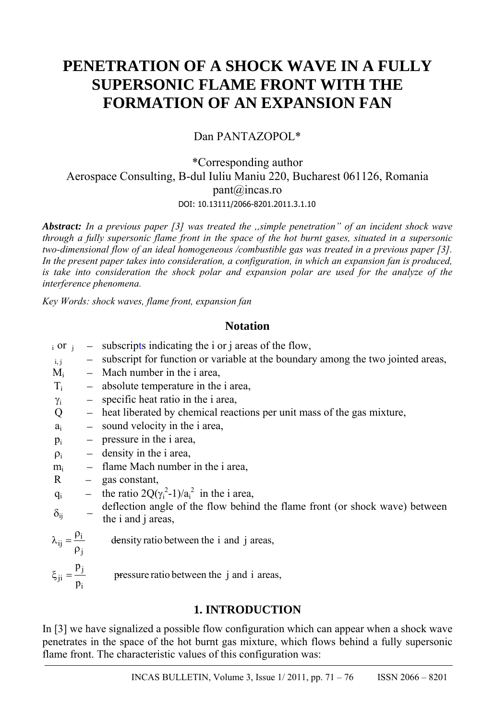# **PENETRATION OF A SHOCK WAVE IN A FULLY SUPERSONIC FLAME FRONT WITH THE FORMATION OF AN EXPANSION FAN**

Dan PANTAZOPOL\*

# \*Corresponding author Aerospace Consulting, B-dul Iuliu Maniu 220, Bucharest 061126, Romania pant@incas.ro DOI: 10.13111/2066-8201.2011.3.1.10

*Abstract: In a previous paper [3] was treated the ,,simple penetration" of an incident shock wave through a fully supersonic flame front in the space of the hot burnt gases, situated in a supersonic two-dimensional flow of an ideal homogeneous /combustible gas was treated in a previous paper [3].* In the present paper takes into consideration, a configuration, in which an expansion fan is produced, *is take into consideration the shock polar and expansion polar are used for the analyze of the interference phenomena.* 

*Key Words: shock waves, flame front, expansion fan* 

# **Notation**

- $\epsilon$  i or  $\epsilon$  subscripts indicating the i or j areas of the flow,
- $i_{i,j}$  subscript for function or variable at the boundary among the two jointed areas,
- $M_i$  Mach number in the i area,
- $T_i$  absolute temperature in the i area,
- $\gamma_i$  specific heat ratio in the i area,
- Q heat liberated by chemical reactions per unit mass of the gas mixture,
- $a_i$  sound velocity in the i area,
- $p_i$  pressure in the i area,
- $\rho_i$  density in the i area,
- $m<sub>i</sub>$  flame Mach number in the i area,
- $R gas constant$ ,
- $q_i$  the ratio  $2Q(\gamma_i^2-1)/a_i^2$  in the i area,

 $\delta_{ij}$  – deflection angle of the flow behind the flame front (or shock wave) between the i and j areas,

 $i = \frac{\rho_i}{\sigma_i}$  $\lambda_{ij} = \frac{\rho_i}{\rho_j}$  de j ji i density ratio between the i and j areas, p  $\xi_{ii} = \frac{FJ}{r}$  pressure ratio between the j and i areas, p

# **1. INTRODUCTION**

In [3] we have signalized a possible flow configuration which can appear when a shock wave penetrates in the space of the hot burnt gas mixture, which flows behind a fully supersonic flame front. The characteristic values of this configuration was: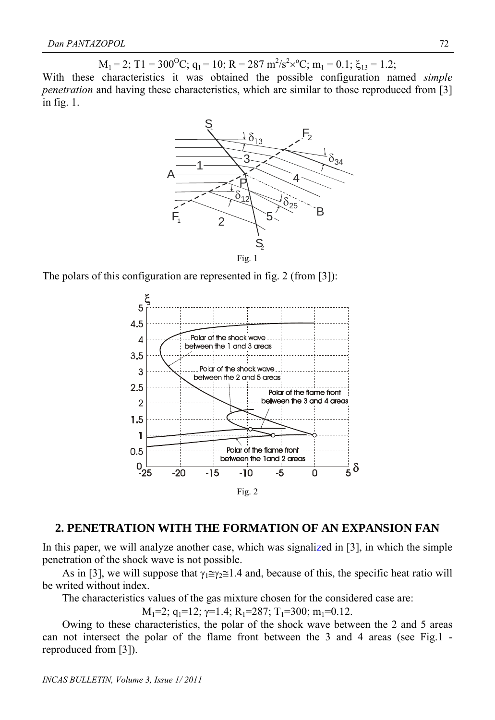$M_1 = 2$ ; T1 = 300<sup>o</sup>C;  $q_1 = 10$ ; R = 287 m<sup>2</sup>/s<sup>2</sup>×<sup>o</sup>C; m<sub>1</sub> = 0.1;  $\xi_{13} = 1.2$ ;

With these characteristics it was obtained the possible configuration named *simple penetration* and having these characteristics, which are similar to those reproduced from [3] in fig. 1.



The polars of this configuration are represented in fig. 2 (from [3]):



#### **2. PENETRATION WITH THE FORMATION OF AN EXPANSION FAN**

In this paper, we will analyze another case, which was signalized in [3], in which the simple penetration of the shock wave is not possible.

As in [3], we will suppose that  $\gamma_1 \cong \gamma_2 \cong 1.4$  and, because of this, the specific heat ratio will be writed without index.

The characteristics values of the gas mixture chosen for the considered case are:

 $M_1=2$ ;  $q_1=12$ ;  $\gamma=1.4$ ;  $R_1=287$ ;  $T_1=300$ ;  $m_1=0.12$ .

Owing to these characteristics, the polar of the shock wave between the 2 and 5 areas can not intersect the polar of the flame front between the 3 and 4 areas (see Fig.1 reproduced from [3]).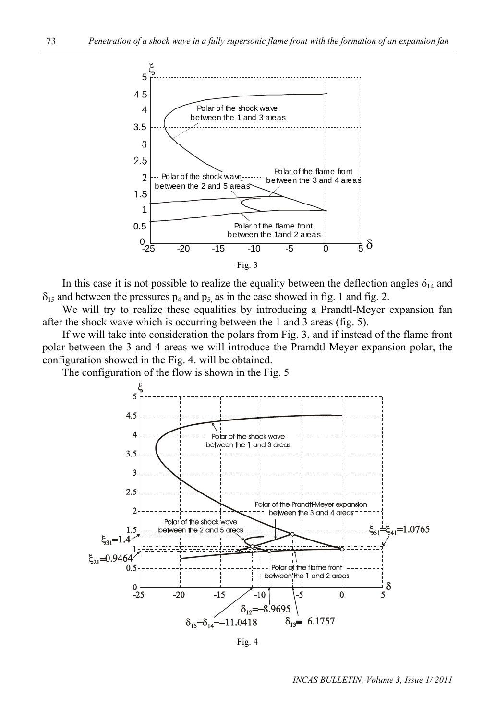

In this case it is not possible to realize the equality between the deflection angles  $\delta_{14}$  and  $\delta_{15}$  and between the pressures  $p_4$  and  $p_5$  as in the case showed in fig. 1 and fig. 2.

We will try to realize these equalities by introducing a Prandtl-Meyer expansion fan after the shock wave which is occurring between the 1 and 3 areas (fig. 5).

If we will take into consideration the polars from Fig. 3, and if instead of the flame front polar between the 3 and 4 areas we will introduce the Pramdtl-Meyer expansion polar, the configuration showed in the Fig. 4. will be obtained.

The configuration of the flow is shown in the Fig. 5



Fig. 4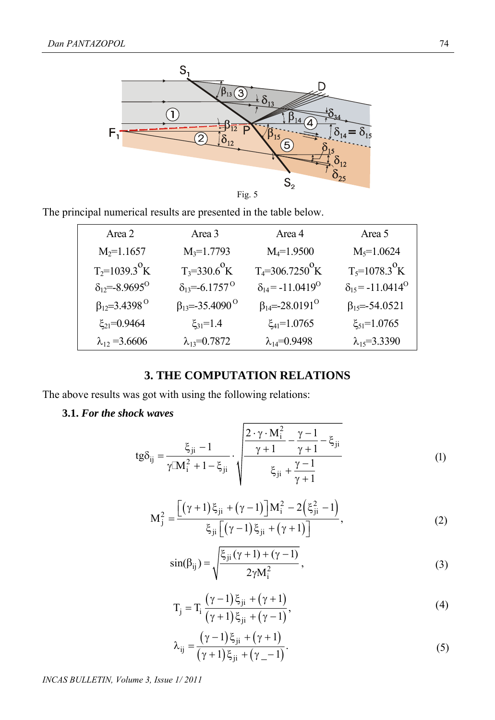

The principal numerical results are presented in the table below.

| Area 2                          | Area 3                          | Area 4                                | Area 5                                |
|---------------------------------|---------------------------------|---------------------------------------|---------------------------------------|
| $M_2 = 1.1657$                  | $M_3 = 1.7793$                  | $M_4 = 1.9500$                        | $M_5 = 1.0624$                        |
| $T_2 = 1039.3$ <sup>o</sup> K   | $T_3 = 330.6^{\circ} K$         | $T_4 = 306.7250 \text{ K}$            | $T_5 = 1078.3 \text{ K}$              |
| $\delta_{12} = -8.9695^{\circ}$ | $\delta_{13} = -6.1757^{\circ}$ | $\delta_{14}$ = -11.0419 <sup>0</sup> | $\delta_{15}$ = -11.0414 <sup>0</sup> |
| $\beta_{12} = 3.4398^\circ$     | $\beta_{13} = -35.4090^{\circ}$ | $\beta_{14} = -28.0191^{\circ}$       | $\beta_{15} = -54.0521$               |
| $\xi_{21} = 0.9464$             | $\xi_{31} = 1.4$                | $\xi_{41} = 1.0765$                   | $\xi_{51} = 1.0765$                   |
| $\lambda_{12} = 3.6606$         | $\lambda_{13} = 0.7872$         | $\lambda_{14} = 0.9498$               | $\lambda_{15} = 3.3390$               |

# **3. THE COMPUTATION RELATIONS**

The above results was got with using the following relations:

#### **3.1.** *For the shock waves*

$$
tg\delta_{ij} = \frac{\xi_{ji} - 1}{\gamma M_i^2 + 1 - \xi_{ji}} \cdot \sqrt{\frac{\frac{2 \cdot \gamma \cdot M_i^2}{\gamma + 1} - \frac{\gamma - 1}{\gamma + 1} - \xi_{ji}}{\xi_{ji} + \frac{\gamma - 1}{\gamma + 1}}}
$$
(1)

$$
M_{j}^{2} = \frac{\left[ (\gamma + 1)\xi_{ji} + (\gamma - 1) \right] M_{i}^{2} - 2(\xi_{ji}^{2} - 1)}{\xi_{ji} \left[ (\gamma - 1)\xi_{ji} + (\gamma + 1) \right]},
$$
\n(2)

$$
\sin(\beta_{ij}) = \sqrt{\frac{\xi_{ji}(\gamma + 1) + (\gamma - 1)}{2\gamma M_i^2}},
$$
\n(3)

$$
T_{j} = T_{i} \frac{(\gamma - 1)\xi_{ji} + (\gamma + 1)}{(\gamma + 1)\xi_{ji} + (\gamma - 1)},
$$
\n(4)

$$
\lambda_{ij} = \frac{(\gamma - 1)\xi_{ji} + (\gamma + 1)}{(\gamma + 1)\xi_{ji} + (\gamma_{-} - 1)}.
$$
\n(5)

*INCAS BULLETIN, Volume 3, Issue 1/ 2011*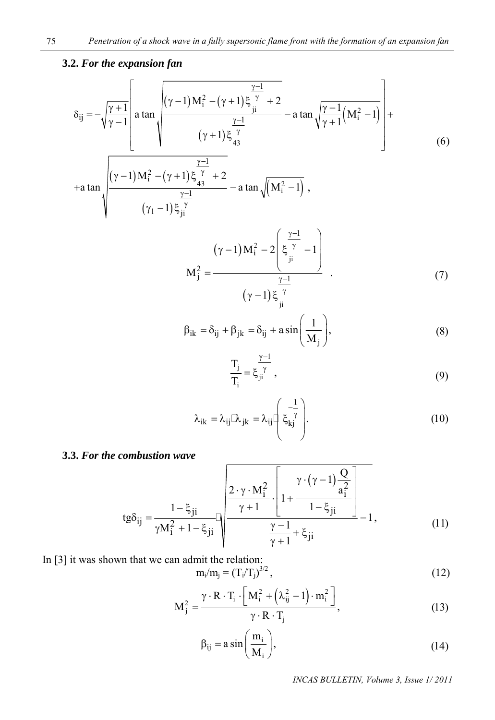### **3.2.** *For the expansion fan*

$$
\delta_{ij} = -\sqrt{\frac{\gamma+1}{\gamma-1}} \left[ a \tan \sqrt{\frac{(\gamma-1)M_i^2 - (\gamma+1)\xi_{ji}^{\frac{\gamma-1}{\gamma}} + 2}{(\gamma+1)\xi_{43}^{\frac{\gamma-1}{\gamma}}} - a \tan \sqrt{\frac{\gamma-1}{\gamma+1}(M_i^2 - 1)} \right] + \frac{\frac{\gamma-1}{\gamma}}{(\gamma+1)M_i^2 - (\gamma+1)\xi_{43}^{\frac{\gamma-1}{\gamma}}} - a \tan \sqrt{(M_i^2 - 1)},
$$
\n
$$
(\gamma_1 - 1)\xi_{ji}^{\frac{\gamma-1}{\gamma}} - a \tan \sqrt{(M_i^2 - 1)},
$$
\n(6)

$$
M_{j}^{2} = \frac{(\gamma - 1)M_{i}^{2} - 2\left(\xi \frac{\gamma - 1}{\gamma} - 1\right)}{(\gamma - 1)\xi \frac{\gamma - 1}{\gamma i}} \tag{7}
$$

$$
\beta_{ik} = \delta_{ij} + \beta_{jk} = \delta_{ij} + a \sin\left(\frac{1}{M_j}\right),\tag{8}
$$

$$
\frac{T_j}{T_i} = \xi_{ji}^{\frac{\gamma - 1}{\gamma}},\tag{9}
$$

$$
\lambda_{ik} = \lambda_{ij} [\lambda_{jk} = \lambda_{ij} \left[ \xi_{kj} \frac{1}{\gamma} \right].
$$
 (10)

#### **3.3.** *For the combustion wave*

$$
tg\delta_{ij} = \frac{1 - \xi_{ji}}{\gamma M_i^2 + 1 - \xi_{ji}} \sqrt{\frac{2 \cdot \gamma \cdot M_i^2}{\gamma + 1} \cdot \left[1 + \frac{\gamma \cdot (\gamma - 1) \frac{Q}{a_i^2}}{1 - \xi_{ji}}\right] - 1},
$$
(11)

In [3] it was shown that we can admit the relation:  $m_i/m_j = (T_i/T_j)$  $\frac{3}{2}$ , (12)

$$
M_j^2 = \frac{\gamma \cdot R \cdot T_i \cdot \left[ M_i^2 + \left( \lambda_{ij}^2 - 1 \right) \cdot m_i^2 \right]}{\gamma \cdot R \cdot T_j},
$$
\n(13)

$$
\beta_{ij} = a \sin\left(\frac{m_i}{M_i}\right),\tag{14}
$$

*INCAS BULLETIN, Volume 3, Issue 1/ 2011*